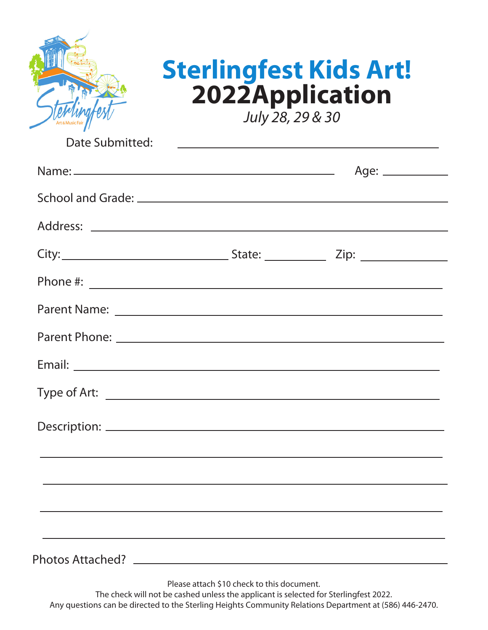|                 | <b>Sterlingfest Kids Art!</b><br>2022Application<br>July 28, 29 & 30                                                               |                     |
|-----------------|------------------------------------------------------------------------------------------------------------------------------------|---------------------|
| Date Submitted: |                                                                                                                                    |                     |
|                 |                                                                                                                                    | Age: ______________ |
|                 |                                                                                                                                    |                     |
|                 |                                                                                                                                    |                     |
|                 |                                                                                                                                    |                     |
|                 |                                                                                                                                    |                     |
|                 |                                                                                                                                    |                     |
|                 |                                                                                                                                    |                     |
|                 |                                                                                                                                    |                     |
|                 |                                                                                                                                    |                     |
|                 |                                                                                                                                    |                     |
|                 |                                                                                                                                    |                     |
|                 |                                                                                                                                    |                     |
|                 |                                                                                                                                    |                     |
|                 |                                                                                                                                    |                     |
|                 | Please attach \$10 check to this document.<br>The check will not be cashed unless the applicant is selected for Sterlingfest 2022. |                     |

Any questions can be directed to the Sterling Heights Community Relations Department at (586) 446-2470.